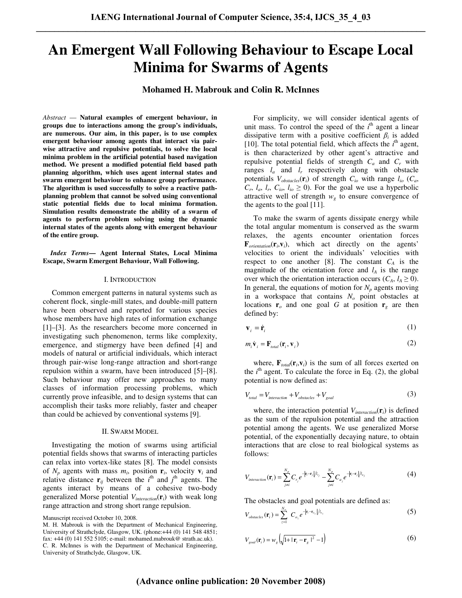# **An Emergent Wall Following Behaviour to Escape Local Minima for Swarms of Agents**

**Mohamed H. Mabrouk and Colin R. McInnes** 

*Abstract* — **Natural examples of emergent behaviour, in groups due to interactions among the group's individuals, are numerous. Our aim, in this paper, is to use complex emergent behaviour among agents that interact via pairwise attractive and repulsive potentials, to solve the local minima problem in the artificial potential based navigation method. We present a modified potential field based path planning algorithm, which uses agent internal states and swarm emergent behaviour to enhance group performance. The algorithm is used successfully to solve a reactive pathplanning problem that cannot be solved using conventional static potential fields due to local minima formation. Simulation results demonstrate the ability of a swarm of agents to perform problem solving using the dynamic internal states of the agents along with emergent behaviour of the entire group.** 

## *Index Terms***— Agent Internal States, Local Minima Escape, Swarm Emergent Behaviour, Wall Following.**

### I. INTRODUCTION

 Common emergent patterns in natural systems such as coherent flock, single-mill states, and double-mill pattern have been observed and reported for various species whose members have high rates of information exchange [1]–[3]. As the researchers become more concerned in investigating such phenomenon, terms like complexity, emergence, and stigmergy have been defined [4] and models of natural or artificial individuals, which interact through pair-wise long-range attraction and short-range repulsion within a swarm, have been introduced [5]–[8]. Such behaviour may offer new approaches to many classes of information processing problems, which currently prove infeasible, and to design systems that can accomplish their tasks more reliably, faster and cheaper than could be achieved by conventional systems [9].

#### II. SWARM MODEL

 Investigating the motion of swarms using artificial potential fields shows that swarms of interacting particles can relax into vortex-like states [8]. The model consists of  $N_p$  agents with mass  $m_i$ , position  $\mathbf{r}_i$ , velocity  $\mathbf{v}_i$  and relative distance  $\mathbf{r}_{ij}$  between the *i*<sup>th</sup> and *j*<sup>th</sup> agents. The agents interact by means of a cohesive two-body generalized Morse potential *Vinteraction*(**r***i*) with weak long range attraction and strong short range repulsion.

Manuscript received October 10, 2008.

 For simplicity, we will consider identical agents of unit mass. To control the speed of the  $i<sup>th</sup>$  agent a linear dissipative term with a positive coefficient  $\beta_i$  is added [10]. The total potential field, which affects the  $i<sup>th</sup>$  agent, is then characterized by other agent's attractive and repulsive potential fields of strength *Ca* and *C<sup>r</sup>* with ranges  $l_a$  and  $l_r$  respectively along with obstacle potentials  $V_{obstack}(\mathbf{r}_i)$  of strength  $C_{io}$  with range  $l_{io}$  ( $C_a$ ,  $C_r$ ,  $l_a$ ,  $l_r$ ,  $C_{io}$ ,  $l_{io} \ge 0$ ). For the goal we use a hyperbolic attractive well of strength  $w<sub>g</sub>$  to ensure convergence of the agents to the goal [11].

 To make the swarm of agents dissipate energy while the total angular momentum is conserved as the swarm relaxes, the agents encounter orientation forces  $\mathbf{F}_{orientation}(\mathbf{r}_i, \mathbf{v}_i)$ , which act directly on the agents' velocities to orient the individuals' velocities with respect to one another [8]. The constant  $C_A$  is the magnitude of the orientation force and  $l_A$  is the range over which the orientation interaction occurs  $(C_A, l_A \geq 0)$ . In general, the equations of motion for  $N_p$  agents moving in a workspace that contains  $N<sub>o</sub>$  point obstacles at locations  $\mathbf{r}_o$  and one goal G at position  $\mathbf{r}_g$  are then defined by:

$$
\mathbf{v}_i = \dot{\mathbf{r}}_i \tag{1}
$$

$$
m_i \dot{\mathbf{v}}_i = \mathbf{F}_{total}(\mathbf{r}_i, \mathbf{v}_i) \tag{2}
$$

where,  $\mathbf{F}_{total}(\mathbf{r}_i, \mathbf{v}_i)$  is the sum of all forces exerted on the  $i<sup>th</sup>$  agent. To calculate the force in Eq. (2), the global potential is now defined as:

$$
V_{total} = V_{interaction} + V_{obtacles} + V_{goal}
$$
 (3)

 where, the interaction potential *Vinteraction*(**r***i*) is defined as the sum of the repulsion potential and the attraction potential among the agents. We use generalized Morse potential, of the exponentially decaying nature, to obtain interactions that are close to real biological systems as follows:

$$
V_{interaction}(\mathbf{r}_{i}) = \sum_{j \neq i}^{N_{p}} C_{r_{j}} e^{-|\mathbf{r}_{i} - \mathbf{r}_{j}|/l_{r_{j}}} - \sum_{j \neq i}^{N_{p}} C_{a_{j}} e^{-|\mathbf{r}_{i} - \mathbf{r}_{j}|/l_{a_{j}}}
$$
(4)

The obstacles and goal potentials are defined as:

$$
V_{\text{obstacles}}(\mathbf{r}_i) = \sum_{z=1}^{N_o} C_{o_z} e^{-|\mathbf{r}_i - \mathbf{r}_{o_z}|/l_{o_z}}
$$
(5)

$$
V_{\text{goal}}(\mathbf{r}_{i}) = w_{g} \left( \sqrt{1 + |\mathbf{r}_{i} - \mathbf{r}_{g}|^{2}} - 1 \right)
$$
 (6)

M. H. Mabrouk is with the Department of Mechanical Engineering, University of Strathclyde, Glasgow, UK. (phone:+44 (0) 141 548 4851; fax: +44 (0) 141 552 5105; e-mail: mohamed.mabrouk@ strath.ac.uk). C. R. McInnes is with the Department of Mechanical Engineering, University of Strathclyde, Glasgow, UK.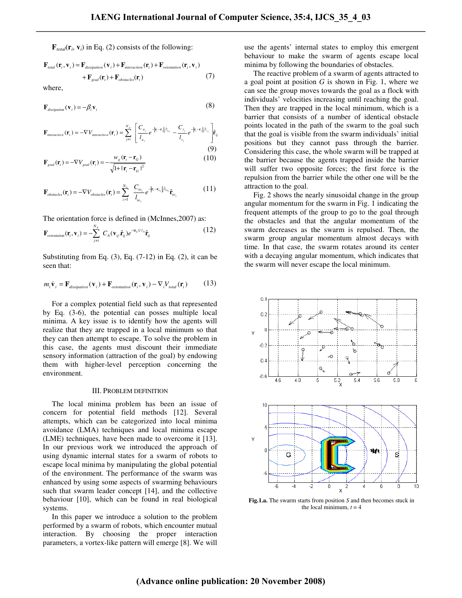$\mathbf{F}_{total}(\mathbf{r}_i, \mathbf{v}_i)$  in Eq. (2) consists of the following:

$$
\mathbf{F}_{total}(\mathbf{r}_i, \mathbf{v}_i) = \mathbf{F}_{dissipation}(\mathbf{v}_i) + \mathbf{F}_{interaction}(\mathbf{r}_i) + \mathbf{F}_{orientation}(\mathbf{r}_i, \mathbf{v}_i)
$$
  
+ 
$$
\mathbf{F}_{goal}(\mathbf{r}_i) + \mathbf{F}_{obstacles}(\mathbf{r}_i)
$$
 (7)

where,

$$
\mathbf{F}_{dissipation}(\mathbf{v}_i) = -\beta_i \mathbf{v}_i \tag{8}
$$

$$
\mathbf{F}_{interaction}(\mathbf{r}_i) = -\nabla V_{interaction}(\mathbf{r}_i) = \sum_{j \neq i}^{N_p} \left[ \frac{C_{a_j}}{l_{a_j}} e^{-|\mathbf{r}_i - \mathbf{r}_j|/l_{a_j}} - \frac{C_{r_j}}{l_{r_j}} e^{-|\mathbf{r}_i - \mathbf{r}_j|/l_{r_j}} \right] \hat{\mathbf{r}}_{ij}
$$
\n(9)

$$
\mathbf{F}_{goal}(\mathbf{r}_i) = -\nabla V_{goal}(\mathbf{r}_i) = -\frac{W_g(\mathbf{r}_i - \mathbf{r}_G)}{\sqrt{1 + |\mathbf{r}_i - \mathbf{r}_G|^2}}
$$
(10)

$$
\mathbf{F}_{obstack}(\mathbf{r}_i) = -\nabla V_{obstack}(\mathbf{r}_i) = \sum_{z=1}^{N_o} \frac{C_{io_z}}{l_{io_z}} e^{-|\mathbf{r}_i - \mathbf{r}_{o_z}|/l_{io_z}} \hat{\mathbf{r}}_{io_z}
$$
(11)

The orientation force is defined in (McInnes,2007) as:

$$
\mathbf{F}_{orientation}(\mathbf{r}_i, \mathbf{v}_i) = -\sum_{j \neq i}^{N_p} C_A(\mathbf{v}_{ij}.\hat{\mathbf{r}}_{ij}) e^{-i\mathbf{r}_{ij}t/L_A} \hat{\mathbf{r}}_{ij}
$$
(12)

Substituting from Eq.  $(3)$ , Eq.  $(7-12)$  in Eq.  $(2)$ , it can be seen that:

$$
m_i \dot{\mathbf{v}}_i = \mathbf{F}_{dissipation}(\mathbf{v}_i) + \mathbf{F}_{orientation}(\mathbf{r}_i, \mathbf{v}_i) - \nabla_i V_{total}(\mathbf{r}_i)
$$
(13)

 For a complex potential field such as that represented by Eq. (3-6), the potential can posses multiple local minima. A key issue is to identify how the agents will realize that they are trapped in a local minimum so that they can then attempt to escape. To solve the problem in this case, the agents must discount their immediate sensory information (attraction of the goal) by endowing them with higher-level perception concerning the environment.

#### III. PROBLEM DEFINITION

 The local minima problem has been an issue of concern for potential field methods [12]. Several attempts, which can be categorized into local minima avoidance (LMA) techniques and local minima escape (LME) techniques, have been made to overcome it [13]. In our previous work we introduced the approach of using dynamic internal states for a swarm of robots to escape local minima by manipulating the global potential of the environment. The performance of the swarm was enhanced by using some aspects of swarming behaviours such that swarm leader concept [14], and the collective behaviour [10], which can be found in real biological systems.

 In this paper we introduce a solution to the problem performed by a swarm of robots, which encounter mutual interaction. By choosing the proper interaction parameters, a vortex-like pattern will emerge [8]. We will

use the agents' internal states to employ this emergent behaviour to make the swarm of agents escape local minima by following the boundaries of obstacles.

 The reactive problem of a swarm of agents attracted to a goal point at position *G* is shown in Fig. 1, where we can see the group moves towards the goal as a flock with individuals' velocities increasing until reaching the goal. Then they are trapped in the local minimum, which is a barrier that consists of a number of identical obstacle points located in the path of the swarm to the goal such that the goal is visible from the swarm individuals' initial positions but they cannot pass through the barrier. Considering this case, the whole swarm will be trapped at the barrier because the agents trapped inside the barrier will suffer two opposite forces; the first force is the repulsion from the barrier while the other one will be the attraction to the goal.

 Fig. 2 shows the nearly sinusoidal change in the group angular momentum for the swarm in Fig. 1 indicating the frequent attempts of the group to go to the goal through the obstacles and that the angular momentum of the swarm decreases as the swarm is repulsed. Then, the swarm group angular momentum almost decays with time. In that case, the swarm rotates around its center with a decaying angular momentum, which indicates that the swarm will never escape the local minimum.



**Fig.1.a.** The swarm starts from position *S* and then becomes stuck in the local minimum,  $t = 4$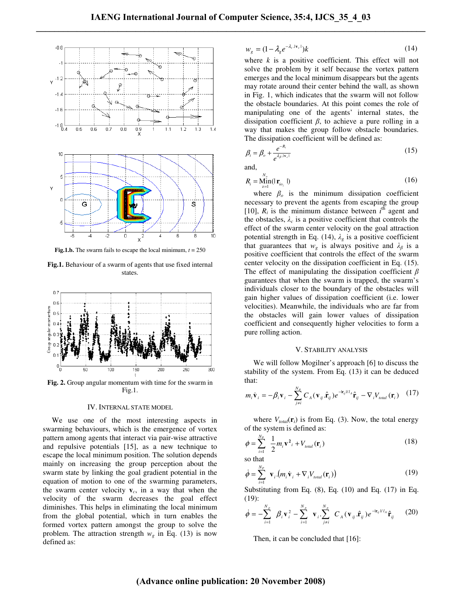

**Fig.1.b.** The swarm fails to escape the local minimum,  $t = 250$ 

**Fig.1.** Behaviour of a swarm of agents that use fixed internal states.



**Fig. 2.** Group angular momentum with time for the swarm in Fig.1.

## IV. INTERNAL STATE MODEL

 We use one of the most interesting aspects in swarming behaviours, which is the emergence of vortex pattern among agents that interact via pair-wise attractive and repulsive potentials [15], as a new technique to escape the local minimum position. The solution depends mainly on increasing the group perception about the swarm state by linking the goal gradient potential in the equation of motion to one of the swarming parameters, the swarm center velocity  $\mathbf{v}_c$ , in a way that when the velocity of the swarm decreases the goal effect diminishes. This helps in eliminating the local minimum from the global potential, which in turn enables the formed vortex pattern amongst the group to solve the problem. The attraction strength  $w_g$  in Eq. (13) is now defined as:

$$
w_g = (1 - \lambda_g e^{-\lambda_c \cdot |v_c|})k \tag{14}
$$

where  $k$  is a positive coefficient. This effect will not solve the problem by it self because the vortex pattern emerges and the local minimum disappears but the agents may rotate around their center behind the wall, as shown in Fig. 1, which indicates that the swarm will not follow the obstacle boundaries. At this point comes the role of manipulating one of the agents' internal states, the dissipation coefficient  $\beta$ , to achieve a pure rolling in a way that makes the group follow obstacle boundaries. The dissipation coefficient will be defined as:

$$
\beta_i = \beta_o + \frac{e^{-R_i}}{e^{\lambda_\beta \cdot \mathbf{v}_c t}}
$$
\n(15)

and,

$$
R_i = \underset{z=1}{\underset{z=1}{\text{Min}}} (|\mathbf{r}_{io_z}|)
$$
 (16)

where  $\beta_o$  is the minimum dissipation coefficient necessary to prevent the agents from escaping the group [10],  $R_i$  is the minimum distance between  $i^{th}$  agent and the obstacles,  $\lambda_c$  is a positive coefficient that controls the effect of the swarm center velocity on the goal attraction potential strength in Eq. (14),  $\lambda_g$  is a positive coefficient that guarantees that  $w_g$  is always positive and  $\lambda_g$  is a positive coefficient that controls the effect of the swarm center velocity on the dissipation coefficient in Eq. (15). The effect of manipulating the dissipation coefficient  $\beta$ guarantees that when the swarm is trapped, the swarm's individuals closer to the boundary of the obstacles will gain higher values of dissipation coefficient (i.e. lower velocities). Meanwhile, the individuals who are far from the obstacles will gain lower values of dissipation coefficient and consequently higher velocities to form a pure rolling action.

#### V. STABILITY ANALYSIS

 We will follow Mogilner's approach [6] to discuss the stability of the system. From Eq. (13) it can be deduced that:

$$
m_i \dot{\mathbf{v}}_i = -\beta_i \mathbf{v}_i - \sum_{j \neq i}^{N_P} C_A (\mathbf{v}_{ij} \cdot \hat{\mathbf{r}}_{ij}) e^{-i \mathbf{r}_{ij} U A} \hat{\mathbf{r}}_{ij} - \nabla_i V_{total} (\mathbf{r}_i) \quad (17)
$$

where  $V_{total}(\mathbf{r}_i)$  is from Eq. (3). Now, the total energy of the system is defined as:

$$
\phi = \sum_{i=1}^{N_p} \frac{1}{2} m_i \mathbf{v}^2_i + V_{total}(\mathbf{r}_i)
$$
\n(18)

so that

$$
\dot{\phi} = \sum_{i=1}^{N_p} \mathbf{v}_i \left( m_i \dot{\mathbf{v}}_i + \nabla_i V_{total}(\mathbf{r}_i) \right)
$$
(19)

Substituting from Eq.  $(8)$ , Eq.  $(10)$  and Eq.  $(17)$  in Eq. (19):

$$
\dot{\phi} = -\sum_{i=1}^{N_p} \boldsymbol{\beta}_i \mathbf{v}_i^2 - \sum_{i=1}^{N_p} \mathbf{v}_i \sum_{j \neq i}^{N_p} \boldsymbol{C}_A (\mathbf{v}_{ij} \cdot \hat{\mathbf{r}}_{ij}) e^{-i \mathbf{r}_{ij} V I_A} \hat{\mathbf{r}}_{ij}
$$
(20)

Then, it can be concluded that [16]:

# **(Advance online publication: 20 November 2008)**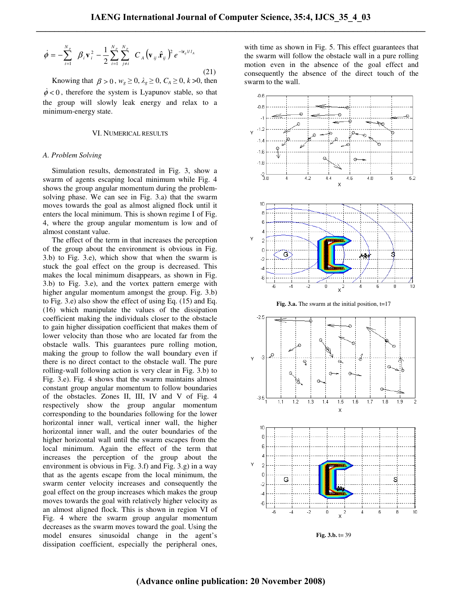$$
\dot{\phi} = -\sum_{i=1}^{N_p} \beta_i \mathbf{v}_i^2 - \frac{1}{2} \sum_{i=1}^{N_p} \sum_{j \neq i}^{N_p} C_A (\mathbf{v}_{ij} \cdot \hat{\mathbf{r}}_{ij})^2 e^{-i \mathbf{r}_{ij} / I_A}
$$
(21)

Knowing that  $\beta > 0$ ,  $w_g \ge 0$ ,  $\lambda_g \ge 0$ ,  $C_A \ge 0$ ,  $k > 0$ , then  $\dot{\phi}$  < 0, therefore the system is Lyapunov stable, so that the group will slowly leak energy and relax to a minimum-energy state.

#### VI. NUMERICAL RESULTS

#### *A. Problem Solving*

 Simulation results, demonstrated in Fig. 3, show a swarm of agents escaping local minimum while Fig. 4 shows the group angular momentum during the problemsolving phase. We can see in Fig. 3.a) that the swarm moves towards the goal as almost aligned flock until it enters the local minimum. This is shown regime I of Fig. 4, where the group angular momentum is low and of almost constant value.

 The effect of the term in that increases the perception of the group about the environment is obvious in Fig. 3.b) to Fig. 3.e), which show that when the swarm is stuck the goal effect on the group is decreased. This makes the local minimum disappears, as shown in Fig. 3.b) to Fig. 3.e), and the vortex pattern emerge with higher angular momentum amongst the group. Fig. 3.b) to Fig. 3.e) also show the effect of using Eq. (15) and Eq. (16) which manipulate the values of the dissipation coefficient making the individuals closer to the obstacle to gain higher dissipation coefficient that makes them of lower velocity than those who are located far from the obstacle walls. This guarantees pure rolling motion, making the group to follow the wall boundary even if there is no direct contact to the obstacle wall. The pure rolling-wall following action is very clear in Fig. 3.b) to Fig. 3.e). Fig. 4 shows that the swarm maintains almost constant group angular momentum to follow boundaries of the obstacles. Zones II, III, IV and V of Fig. 4 respectively show the group angular momentum corresponding to the boundaries following for the lower horizontal inner wall, vertical inner wall, the higher horizontal inner wall, and the outer boundaries of the higher horizontal wall until the swarm escapes from the local minimum. Again the effect of the term that increases the perception of the group about the environment is obvious in Fig. 3.f) and Fig. 3.g) in a way that as the agents escape from the local minimum, the swarm center velocity increases and consequently the goal effect on the group increases which makes the group moves towards the goal with relatively higher velocity as an almost aligned flock. This is shown in region VI of Fig. 4 where the swarm group angular momentum decreases as the swarm moves toward the goal. Using the model ensures sinusoidal change in the agent's dissipation coefficient, especially the peripheral ones,

with time as shown in Fig. 5. This effect guarantees that the swarm will follow the obstacle wall in a pure rolling motion even in the absence of the goal effect and consequently the absence of the direct touch of the swarm to the wall.



**Fig. 3.b.** t= 39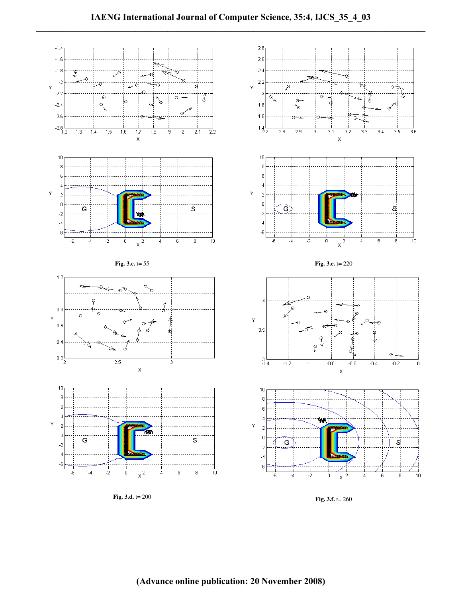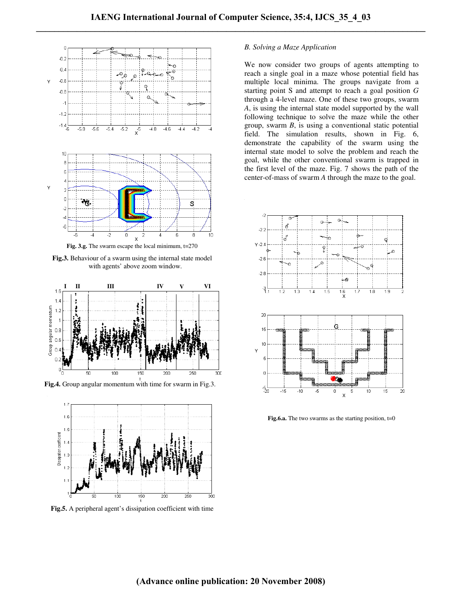

**Fig.3.** Behaviour of a swarm using the internal state model with agents' above zoom window.



**Fig.4.** Group angular momentum with time for swarm in Fig.3.



**Fig.5.** A peripheral agent's dissipation coefficient with time

## *B. Solving a Maze Application*

We now consider two groups of agents attempting to reach a single goal in a maze whose potential field has multiple local minima. The groups navigate from a starting point S and attempt to reach a goal position *G* through a 4-level maze. One of these two groups, swarm *A*, is using the internal state model supported by the wall following technique to solve the maze while the other group, swarm *B*, is using a conventional static potential field. The simulation results, shown in Fig. 6, demonstrate the capability of the swarm using the internal state model to solve the problem and reach the goal, while the other conventional swarm is trapped in the first level of the maze. Fig. 7 shows the path of the center-of-mass of swarm *A* through the maze to the goal.



**Fig.6.a.** The two swarms as the starting position,  $t=0$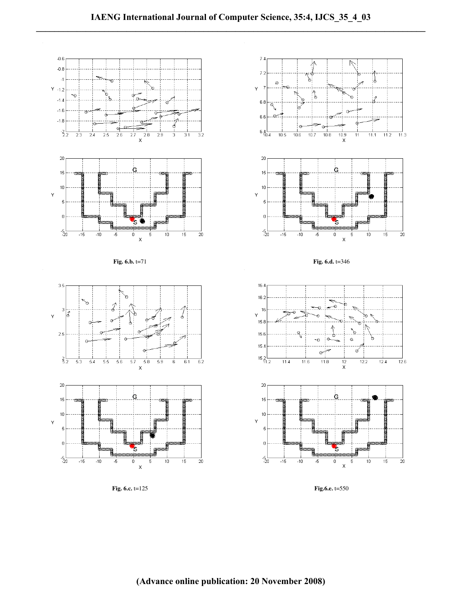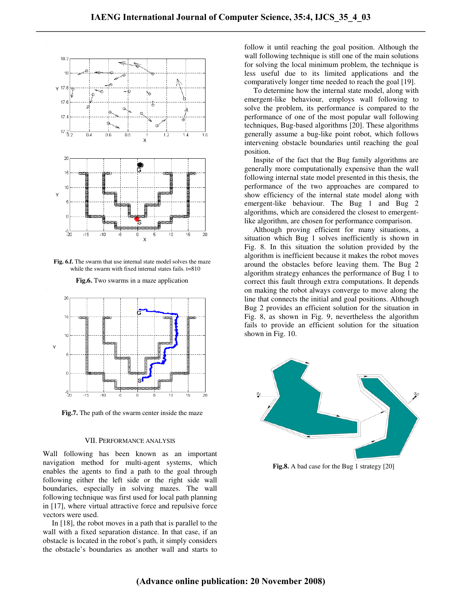

**Fig. 6.f.** The swarm that use internal state model solves the maze while the swarm with fixed internal states fails. t=810



**Fig.6.** Two swarms in a maze application

**Fig.7.** The path of the swarm center inside the maze

### VII.PERFORMANCE ANALYSIS

Wall following has been known as an important navigation method for multi-agent systems, which enables the agents to find a path to the goal through following either the left side or the right side wall boundaries, especially in solving mazes. The wall following technique was first used for local path planning in [17], where virtual attractive force and repulsive force vectors were used.

 In [18], the robot moves in a path that is parallel to the wall with a fixed separation distance. In that case, if an obstacle is located in the robot's path, it simply considers the obstacle's boundaries as another wall and starts to follow it until reaching the goal position. Although the wall following technique is still one of the main solutions for solving the local minimum problem, the technique is less useful due to its limited applications and the comparatively longer time needed to reach the goal [19].

 To determine how the internal state model, along with emergent-like behaviour, employs wall following to solve the problem, its performance is compared to the performance of one of the most popular wall following techniques, Bug-based algorithms [20]. These algorithms generally assume a bug-like point robot, which follows intervening obstacle boundaries until reaching the goal position.

 Inspite of the fact that the Bug family algorithms are generally more computationally expensive than the wall following internal state model presented in this thesis, the performance of the two approaches are compared to show efficiency of the internal state model along with emergent-like behaviour. The Bug 1 and Bug 2 algorithms, which are considered the closest to emergentlike algorithm, are chosen for performance comparison.

 Although proving efficient for many situations, a situation which Bug 1 solves inefficiently is shown in Fig. 8. In this situation the solution provided by the algorithm is inefficient because it makes the robot moves around the obstacles before leaving them. The Bug 2 algorithm strategy enhances the performance of Bug 1 to correct this fault through extra computations. It depends on making the robot always converge to move along the line that connects the initial and goal positions. Although Bug 2 provides an efficient solution for the situation in Fig. 8, as shown in Fig. 9, nevertheless the algorithm fails to provide an efficient solution for the situation shown in Fig. 10.



**Fig.8.** A bad case for the Bug 1 strategy [20]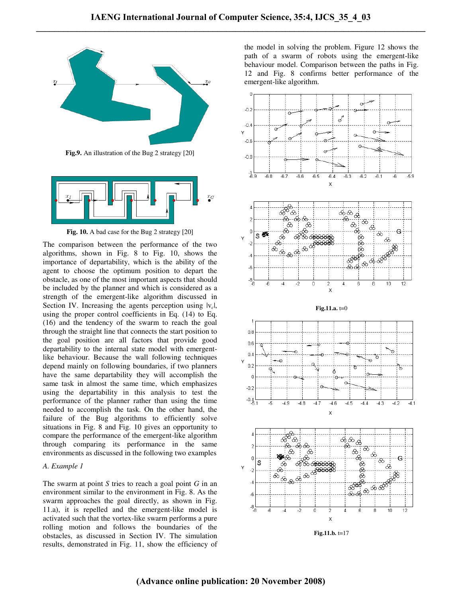

**Fig.9.** An illustration of the Bug 2 strategy [20]



**Fig. 10.** A bad case for the Bug 2 strategy [20]

The comparison between the performance of the two algorithms, shown in Fig. 8 to Fig. 10, shows the importance of departability, which is the ability of the agent to choose the optimum position to depart the obstacle, as one of the most important aspects that should be included by the planner and which is considered as a strength of the emergent-like algorithm discussed in Section IV. Increasing the agents perception using  $|v_c|$ , using the proper control coefficients in Eq. (14) to Eq. (16) and the tendency of the swarm to reach the goal through the straight line that connects the start position to the goal position are all factors that provide good departability to the internal state model with emergentlike behaviour. Because the wall following techniques depend mainly on following boundaries, if two planners have the same departability they will accomplish the same task in almost the same time, which emphasizes using the departability in this analysis to test the performance of the planner rather than using the time needed to accomplish the task. On the other hand, the failure of the Bug algorithms to efficiently solve situations in Fig. 8 and Fig. 10 gives an opportunity to compare the performance of the emergent-like algorithm through comparing its performance in the same environments as discussed in the following two examples

## *A. Example 1*

The swarm at point *S* tries to reach a goal point *G* in an environment similar to the environment in Fig. 8. As the swarm approaches the goal directly, as shown in Fig. 11.a), it is repelled and the emergent-like model is activated such that the vortex-like swarm performs a pure rolling motion and follows the boundaries of the obstacles, as discussed in Section IV. The simulation results, demonstrated in Fig. 11, show the efficiency of

the model in solving the problem. Figure 12 shows the path of a swarm of robots using the emergent-like behaviour model. Comparison between the paths in Fig. 12 and Fig. 8 confirms better performance of the emergent-like algorithm.

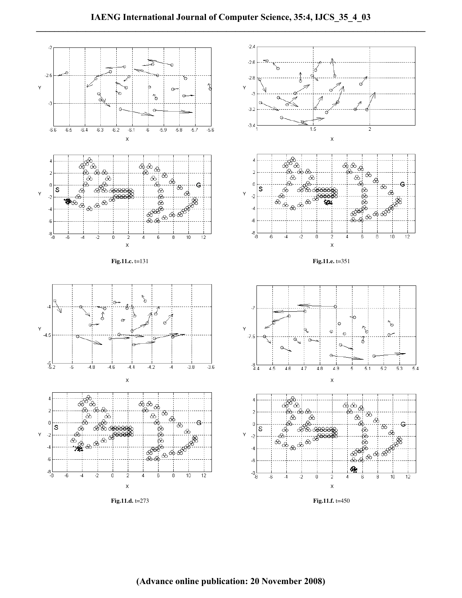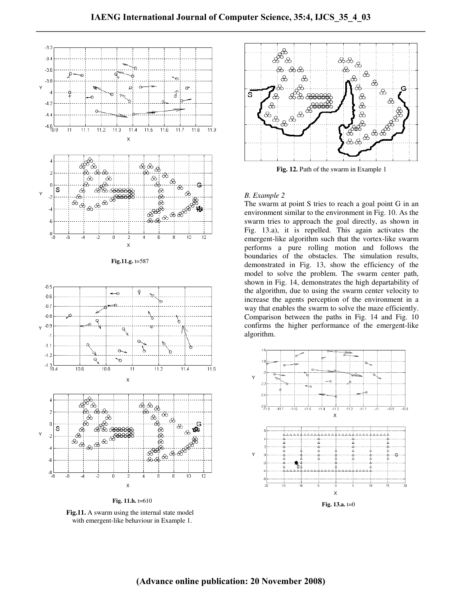

**Fig. 11.h.** t=610

**Fig.11.** A swarm using the internal state model with emergent-like behaviour in Example 1.



**Fig. 12.** Path of the swarm in Example 1

# *B. Example 2*

The swarm at point S tries to reach a goal point G in an environment similar to the environment in Fig. 10. As the swarm tries to approach the goal directly, as shown in Fig. 13.a), it is repelled. This again activates the emergent-like algorithm such that the vortex-like swarm performs a pure rolling motion and follows the boundaries of the obstacles. The simulation results, demonstrated in Fig. 13, show the efficiency of the model to solve the problem. The swarm center path, shown in Fig. 14, demonstrates the high departability of the algorithm, due to using the swarm center velocity to increase the agents perception of the environment in a way that enables the swarm to solve the maze efficiently. Comparison between the paths in Fig. 14 and Fig. 10 confirms the higher performance of the emergent-like algorithm.

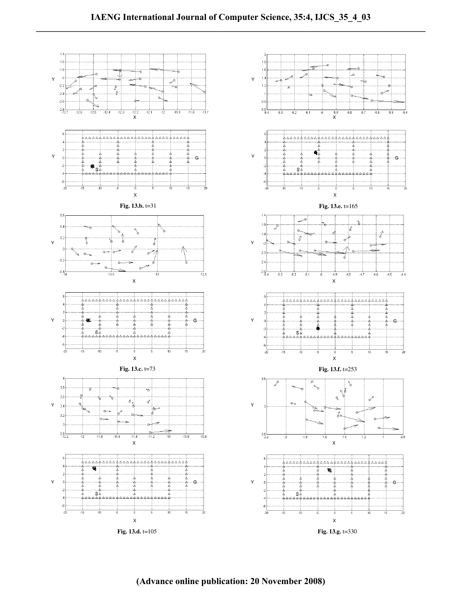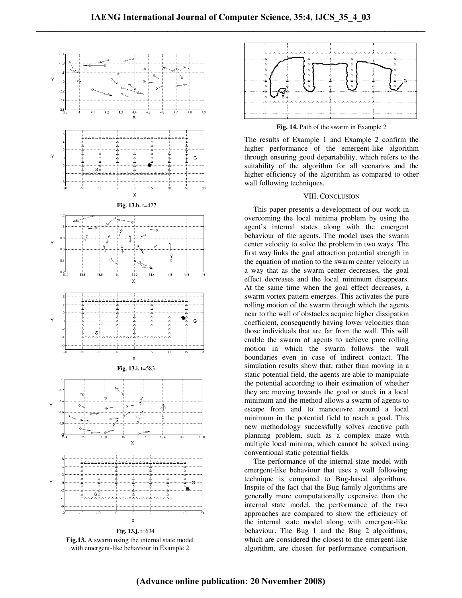

**Fig.13.** A swarm using the internal state model with emergent-like behaviour in Example 2



**Fig. 14.** Path of the swarm in Example 2

The results of Example 1 and Example 2 confirm the higher performance of the emergent-like algorithm through ensuring good departability, which refers to the suitability of the algorithm for all scenarios and the higher efficiency of the algorithm as compared to other wall following techniques.

# VIII. CONCLUSION

 This paper presents a development of our work in overcoming the local minima problem by using the agent's internal states along with the emergent behaviour of the agents. The model uses the swarm center velocity to solve the problem in two ways. The first way links the goal attraction potential strength in the equation of motion to the swarm center velocity in a way that as the swarm center decreases, the goal effect decreases and the local minimum disappears. At the same time when the goal effect decreases, a swarm vortex pattern emerges. This activates the pure rolling motion of the swarm through which the agents near to the wall of obstacles acquire higher dissipation coefficient, consequently having lower velocities than those individuals that are far from the wall. This will enable the swarm of agents to achieve pure rolling motion in which the swarm follows the wall boundaries even in case of indirect contact. The simulation results show that, rather than moving in a static potential field, the agents are able to manipulate the potential according to their estimation of whether they are moving towards the goal or stuck in a local minimum and the method allows a swarm of agents to escape from and to manoeuvre around a local minimum in the potential field to reach a goal. This new methodology successfully solves reactive path planning problem, such as a complex maze with multiple local minima, which cannot be solved using conventional static potential fields.

 The performance of the internal state model with emergent-like behaviour that uses a wall following technique is compared to Bug-based algorithms. Inspite of the fact that the Bug family algorithms are generally more computationally expensive than the internal state model, the performance of the two approaches are compared to show the efficiency of the internal state model along with emergent-like behaviour. The Bug 1 and the Bug 2 algorithms, which are considered the closest to the emergent-like algorithm, are chosen for performance comparison.